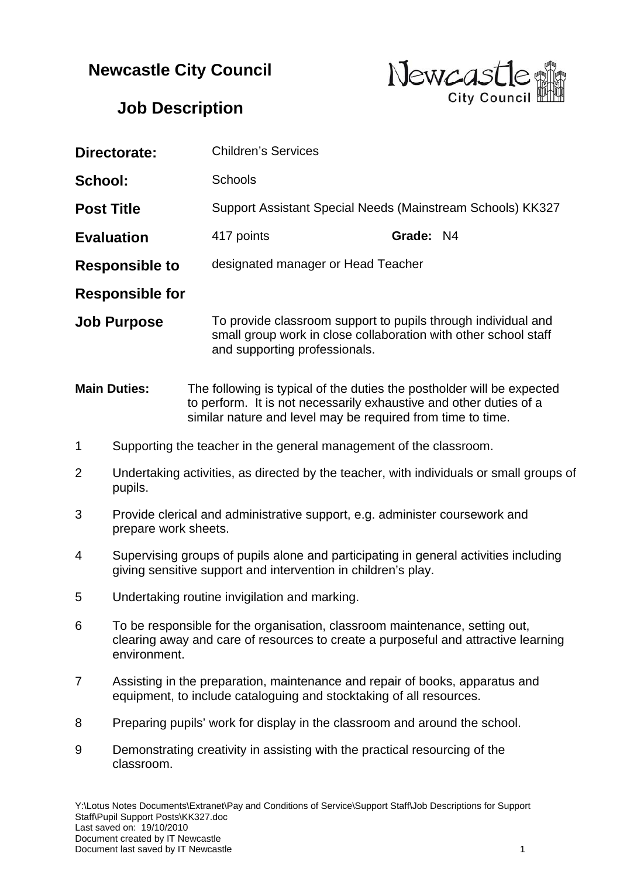## **Newcastle City Council**



## **Job Description**

| Directorate:           |                                                                                                                                                                                   | <b>Children's Services</b>                                                                                                                                                                                  |  |           |  |  |
|------------------------|-----------------------------------------------------------------------------------------------------------------------------------------------------------------------------------|-------------------------------------------------------------------------------------------------------------------------------------------------------------------------------------------------------------|--|-----------|--|--|
| School:                |                                                                                                                                                                                   | Schools                                                                                                                                                                                                     |  |           |  |  |
| <b>Post Title</b>      |                                                                                                                                                                                   | Support Assistant Special Needs (Mainstream Schools) KK327                                                                                                                                                  |  |           |  |  |
| <b>Evaluation</b>      |                                                                                                                                                                                   | 417 points                                                                                                                                                                                                  |  | Grade: N4 |  |  |
| <b>Responsible to</b>  |                                                                                                                                                                                   | designated manager or Head Teacher                                                                                                                                                                          |  |           |  |  |
| <b>Responsible for</b> |                                                                                                                                                                                   |                                                                                                                                                                                                             |  |           |  |  |
| <b>Job Purpose</b>     |                                                                                                                                                                                   | To provide classroom support to pupils through individual and<br>small group work in close collaboration with other school staff<br>and supporting professionals.                                           |  |           |  |  |
| <b>Main Duties:</b>    |                                                                                                                                                                                   | The following is typical of the duties the postholder will be expected<br>to perform. It is not necessarily exhaustive and other duties of a<br>similar nature and level may be required from time to time. |  |           |  |  |
| 1                      | Supporting the teacher in the general management of the classroom.                                                                                                                |                                                                                                                                                                                                             |  |           |  |  |
| 2                      | Undertaking activities, as directed by the teacher, with individuals or small groups of<br>pupils.                                                                                |                                                                                                                                                                                                             |  |           |  |  |
| 3                      | Provide clerical and administrative support, e.g. administer coursework and<br>prepare work sheets.                                                                               |                                                                                                                                                                                                             |  |           |  |  |
| 4                      | Supervising groups of pupils alone and participating in general activities including<br>giving sensitive support and intervention in children's play.                             |                                                                                                                                                                                                             |  |           |  |  |
| 5                      | Undertaking routine invigilation and marking.                                                                                                                                     |                                                                                                                                                                                                             |  |           |  |  |
| 6                      | To be responsible for the organisation, classroom maintenance, setting out,<br>clearing away and care of resources to create a purposeful and attractive learning<br>environment. |                                                                                                                                                                                                             |  |           |  |  |
| 7                      | Assisting in the preparation, maintenance and repair of books, apparatus and<br>equipment, to include cataloguing and stocktaking of all resources.                               |                                                                                                                                                                                                             |  |           |  |  |
| 8                      | Preparing pupils' work for display in the classroom and around the school.                                                                                                        |                                                                                                                                                                                                             |  |           |  |  |
| 9                      | Demonstrating creativity in assisting with the practical resourcing of the<br>classroom.                                                                                          |                                                                                                                                                                                                             |  |           |  |  |